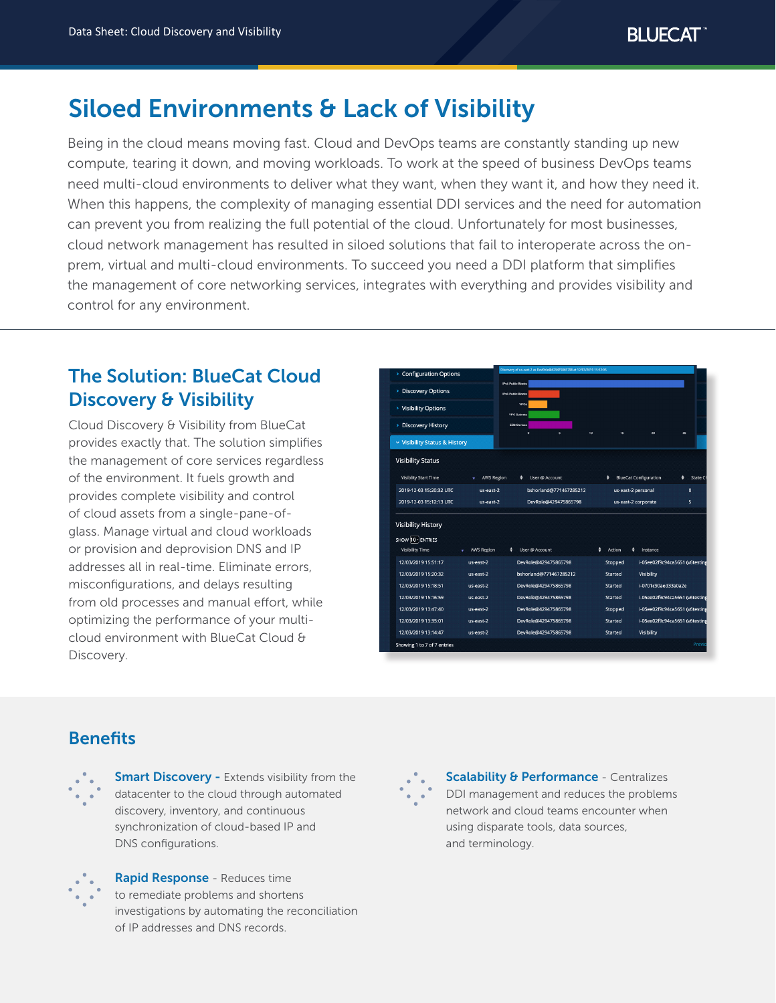# Siloed Environments & Lack of Visibility

Being in the cloud means moving fast. Cloud and DevOps teams are constantly standing up new compute, tearing it down, and moving workloads. To work at the speed of business DevOps teams need multi-cloud environments to deliver what they want, when they want it, and how they need it. When this happens, the complexity of managing essential DDI services and the need for automation can prevent you from realizing the full potential of the cloud. Unfortunately for most businesses, cloud network management has resulted in siloed solutions that fail to interoperate across the onprem, virtual and multi-cloud environments. To succeed you need a DDI platform that simplifies the management of core networking services, integrates with everything and provides visibility and control for any environment.

## The Solution: BlueCat Cloud Discovery & Visibility

Cloud Discovery & Visibility from BlueCat provides exactly that. The solution simplifies the management of core services regardless of the environment. It fuels growth and provides complete visibility and control of cloud assets from a single-pane-ofglass. Manage virtual and cloud workloads or provision and deprovision DNS and IP addresses all in real-time. Eliminate errors, misconfigurations, and delays resulting from old processes and manual effort, while optimizing the performance of your multicloud environment with BlueCat Cloud & Discovery.

| > Configuration Options                                                  |                   | Discovery of us-east-2 as DevRole@429475865798 at 12/03/2019 15:12:05 |                    |                                          |  |
|--------------------------------------------------------------------------|-------------------|-----------------------------------------------------------------------|--------------------|------------------------------------------|--|
| <b>Discovery Options</b><br>×                                            |                   | IPv4 Public Blocks<br>IPv6 Public Blocks                              |                    |                                          |  |
| > Visibility Options                                                     |                   | <b>VPCs</b>                                                           |                    |                                          |  |
| <b>Discovery History</b><br>×                                            |                   | <b>VPC Subnets</b><br>EC2 Devices                                     |                    |                                          |  |
| v Visibility Status & History                                            |                   | $\ddot{\mathbf{0}}$<br>$\ddot{\phantom{a}}$                           | 10<br>15           | 26<br>20                                 |  |
| <b>Visibility Status</b>                                                 |                   |                                                                       |                    |                                          |  |
| <b>Visiblity Start Time</b>                                              | <b>AWS Region</b> | ٠<br>User @ Account                                                   | ٠                  | <b>BlueCat Configuration</b><br>State Cl |  |
| 2019-12-03 15:20:32 UTC                                                  | us-east-2         | bshorland@771467285212                                                | us-east-2 personal | $\mathbf 0$                              |  |
| 2019-12-03 15:12:13 UTC                                                  | us-east-2         | DevRole@429475865798                                                  |                    | 5<br>us-east-2 corporate                 |  |
| <b>Visibility History</b><br>SHOW 10 - ENTRIES<br><b>Visibility Time</b> | <b>AWS Region</b> | ٠<br>User @ Account                                                   | ٠<br>٠<br>Action   | Instance                                 |  |
|                                                                          |                   |                                                                       |                    |                                          |  |
| 12/03/2019 15:51:17                                                      | us-east-2         | DevRole@429475865798                                                  | Stopped            | i-05ee02f9c94ca5651 (v6testing           |  |
| 12/03/2019 15:20:32                                                      | us-east-2         | bshorland@771467285212                                                | Started            | Visibility                               |  |
| 12/03/2019 15:18:51                                                      | us-east-2         | DevRole@429475865798                                                  | Started            | i-0701c90aed33a0a2e                      |  |
| 12/03/2019 15:16:59                                                      | us-east-2         | DevRole@429475865798                                                  | Started            | i-05ee02f9c94ca5651 (v6testing           |  |
| 12/03/2019 13:47:40                                                      | us-east-2         | DevRole@429475865798                                                  | Stopped            | i-05ee02f9c94ca5651 (v6testing           |  |
| 12/03/2019 13:35:01                                                      | us-east-2         | DevRole@429475865798                                                  | Started            | i-05ee02f9c94ca5651 (v6testing           |  |
| 12/03/2019 13:14:47                                                      | us-east-2         | DevRole@429475865798                                                  | Started            | Visibility                               |  |
|                                                                          |                   |                                                                       |                    |                                          |  |

## **Benefits**



**Smart Discovery - Extends visibility from the** datacenter to the cloud through automated discovery, inventory, and continuous synchronization of cloud-based IP and DNS configurations.



Rapid Response - Reduces time to remediate problems and shortens investigations by automating the reconciliation of IP addresses and DNS records.



**Scalability & Performance - Centralizes** DDI management and reduces the problems network and cloud teams encounter when using disparate tools, data sources, and terminology.